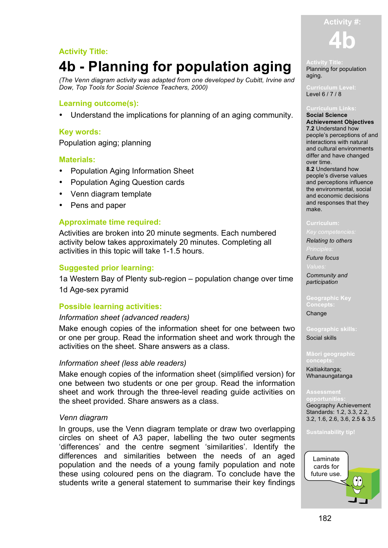## **Activity Title:**

## **4b - Planning for population aging**

*(The Venn diagram activity was adapted from one developed by Cubitt, Irvine and Dow, Top Tools for Social Science Teachers, 2000)*

## **Learning outcome(s):**

• Understand the implications for planning of an aging community.

## **Key words:**

Population aging; planning

## **Materials:**

- Population Aging Information Sheet
- Population Aging Question cards
- Venn diagram template
- Pens and paper

## **Approximate time required:**

Activities are broken into 20 minute segments. Each numbered activity below takes approximately 20 minutes. Completing all activities in this topic will take 1-1.5 hours.

## **Suggested prior learning:**

1a Western Bay of Plenty sub-region – population change over time 1d Age-sex pyramid

## **Possible learning activities:**

## *Information sheet (advanced readers)*

Make enough copies of the information sheet for one between two or one per group. Read the information sheet and work through the activities on the sheet. Share answers as a class.

## *Information sheet (less able readers)*

Make enough copies of the information sheet (simplified version) for one between two students or one per group. Read the information sheet and work through the three-level reading guide activities on the sheet provided. Share answers as a class.

## *Venn diagram*

In groups, use the Venn diagram template or draw two overlapping circles on sheet of A3 paper, labelling the two outer segments 'differences' and the centre segment 'similarities'. Identify the differences and similarities between the needs of an aged population and the needs of a young family population and note these using coloured pens on the diagram. To conclude have the students write a general statement to summarise their key findings

# **4b**

**Activity #:**

Planning for population aging.

Level 6 / 7 / 8

## **Curriculum Links:**

**Social Science Achievement Objectives 7.2** Understand how people's perceptions of and interactions with natural and cultural environments differ and have changed over time. **8.2** Understand how people's diverse values and perceptions influence the environmental, social and economic decisions and responses that they make.

*Relating to others*

*Future focus*

*Community and participation*

**Concepts: Change** 

**Geographic skills:** Social skills

## **Māori geographic**  Kaitiakitanga;

Whanaungatanga

Geography Achievement Standards: 1.2, 3.3, 2.2, 3.2, 1.6, 2.6, 3.6, 2.5 & 3.5

### **Sustainability tip!**